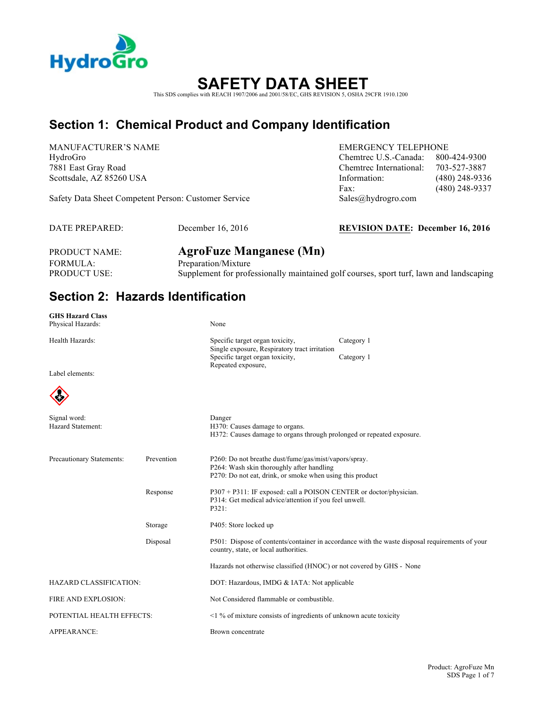

# **SAFETY DATA SHEET**

This SDS complies with REACH 1907/2006 and 2001/58/EC, GHS REVISION 5, OSHA 29CFR 1910.1200

### **Section 1: Chemical Product and Company Identification**

MANUFACTURER'S NAME EMERGENCY TELEPHONE

Safety Data Sheet Competent Person: Customer Service Sales@hydrogro.com

HydroGro Chemtrec U.S.-Canada: 800-424-9300 7881 East Gray Road Chemtrec International: 703-527-3887 Scottsdale, AZ 85260 USA Information: (480) 248-9336 Fax: (480) 248-9337

DATE PREPARED: December 16, 2016 **REVISION DATE: December 16, 2016**

FORMULA: Preparation/Mixture

PRODUCT NAME: **AgroFuze Manganese (Mn)** PRODUCT USE: Supplement for professionally maintained golf courses, sport turf, lawn and landscaping

### **Section 2: Hazards Identification**

| <b>GHS Hazard Class</b>       |            |                                                                                                                                       |                                                                                                |  |
|-------------------------------|------------|---------------------------------------------------------------------------------------------------------------------------------------|------------------------------------------------------------------------------------------------|--|
| Physical Hazards:             |            | None                                                                                                                                  |                                                                                                |  |
| Health Hazards:               |            | Specific target organ toxicity,                                                                                                       | Category 1                                                                                     |  |
|                               |            | Single exposure, Respiratory tract irritation<br>Specific target organ toxicity,                                                      | Category 1                                                                                     |  |
| Label elements:               |            | Repeated exposure,                                                                                                                    |                                                                                                |  |
|                               |            |                                                                                                                                       |                                                                                                |  |
|                               |            |                                                                                                                                       |                                                                                                |  |
| Signal word:                  |            | Danger                                                                                                                                |                                                                                                |  |
| Hazard Statement:             |            | H370: Causes damage to organs.<br>H372: Causes damage to organs through prolonged or repeated exposure.                               |                                                                                                |  |
|                               |            |                                                                                                                                       |                                                                                                |  |
| Precautionary Statements:     | Prevention | P260: Do not breathe dust/fume/gas/mist/vapors/spray.                                                                                 |                                                                                                |  |
|                               |            | P264: Wash skin thoroughly after handling<br>P270: Do not eat, drink, or smoke when using this product                                |                                                                                                |  |
|                               | Response   | P307 + P311: IF exposed: call a POISON CENTER or doctor/physician.<br>P314: Get medical advice/attention if you feel unwell.<br>P321: |                                                                                                |  |
|                               |            |                                                                                                                                       |                                                                                                |  |
|                               |            |                                                                                                                                       |                                                                                                |  |
|                               | Storage    | P405: Store locked up                                                                                                                 |                                                                                                |  |
|                               | Disposal   | country, state, or local authorities.                                                                                                 | P501: Dispose of contents/container in accordance with the waste disposal requirements of your |  |
|                               |            | Hazards not otherwise classified (HNOC) or not covered by GHS - None                                                                  |                                                                                                |  |
| <b>HAZARD CLASSIFICATION:</b> |            | DOT: Hazardous, IMDG & IATA: Not applicable                                                                                           |                                                                                                |  |
| FIRE AND EXPLOSION:           |            | Not Considered flammable or combustible.                                                                                              |                                                                                                |  |
| POTENTIAL HEALTH EFFECTS:     |            | $\leq$ 1 % of mixture consists of ingredients of unknown acute toxicity                                                               |                                                                                                |  |
| APPEARANCE:                   |            | Brown concentrate                                                                                                                     |                                                                                                |  |
|                               |            |                                                                                                                                       |                                                                                                |  |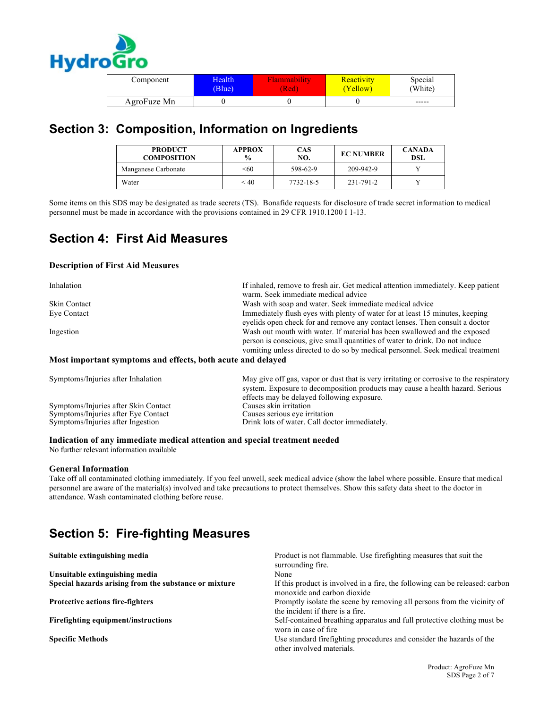

| Component   | Health' | Tammability | Reactivity | Special |
|-------------|---------|-------------|------------|---------|
|             | (Blue)  | (Red)       | (Yellow)   | (White) |
| AgroFuze Mn |         |             |            | -----   |

### **Section 3: Composition, Information on Ingredients**

| <b>PRODUCT</b><br><b>COMPOSITION</b> | <b>APPROX</b><br>$\frac{6}{9}$ | CAS<br>NO. | <b>EC NUMBER</b> | <b>CANADA</b><br><b>DSL</b> |
|--------------------------------------|--------------------------------|------------|------------------|-----------------------------|
| Manganese Carbonate                  | < 60                           | 598-62-9   | 209-942-9        |                             |
| Water                                | < 40                           | 7732-18-5  | 231-791-2        |                             |

Some items on this SDS may be designated as trade secrets (TS). Bonafide requests for disclosure of trade secret information to medical personnel must be made in accordance with the provisions contained in 29 CFR 1910.1200 I 1-13.

### **Section 4: First Aid Measures**

#### **Description of First Aid Measures**

| Inhalation                                                  | If inhaled, remove to fresh air. Get medical attention immediately. Keep patient<br>warm. Seek immediate medical advice                                                                                                                    |
|-------------------------------------------------------------|--------------------------------------------------------------------------------------------------------------------------------------------------------------------------------------------------------------------------------------------|
| <b>Skin Contact</b>                                         | Wash with soap and water. Seek immediate medical advice                                                                                                                                                                                    |
| Eye Contact                                                 | Immediately flush eyes with plenty of water for at least 15 minutes, keeping<br>evelids open check for and remove any contact lenses. Then consult a doctor                                                                                |
| Ingestion                                                   | Wash out mouth with water. If material has been swallowed and the exposed<br>person is conscious, give small quantities of water to drink. Do not induce<br>vomiting unless directed to do so by medical personnel. Seek medical treatment |
| Most important symptoms and effects, both acute and delayed |                                                                                                                                                                                                                                            |
| Symptoms/Injuries after Inhalation                          | May give off gas, vapor or dust that is very irritating or corrosive to the respiratory                                                                                                                                                    |

| Symptoms/Injuries after Inhalation   | May give off gas, vapor or dust that is very irritating or corrosive to the respiratory<br>system. Exposure to decomposition products may cause a health hazard. Serious<br>effects may be delayed following exposure. |
|--------------------------------------|------------------------------------------------------------------------------------------------------------------------------------------------------------------------------------------------------------------------|
| Symptoms/Injuries after Skin Contact | Causes skin irritation                                                                                                                                                                                                 |
| Symptoms/Injuries after Eye Contact  | Causes serious eye irritation                                                                                                                                                                                          |
| Symptoms/Injuries after Ingestion    | Drink lots of water. Call doctor immediately.                                                                                                                                                                          |

#### **Indication of any immediate medical attention and special treatment needed**

No further relevant information available

#### **General Information**

Take off all contaminated clothing immediately. If you feel unwell, seek medical advice (show the label where possible. Ensure that medical personnel are aware of the material(s) involved and take precautions to protect themselves. Show this safety data sheet to the doctor in attendance. Wash contaminated clothing before reuse.

# **Section 5: Fire-fighting Measures**

| Suitable extinguishing media                          | Product is not flammable. Use firefighting measures that suit the<br>surrounding fire.                      |
|-------------------------------------------------------|-------------------------------------------------------------------------------------------------------------|
| Unsuitable extinguishing media                        | None                                                                                                        |
| Special hazards arising from the substance or mixture | If this product is involved in a fire, the following can be released: carbon<br>monoxide and carbon dioxide |
| <b>Protective actions fire-fighters</b>               | Promptly isolate the scene by removing all persons from the vicinity of<br>the incident if there is a fire. |
| Firefighting equipment/instructions                   | Self-contained breathing apparatus and full protective clothing must be<br>worn in case of fire.            |
| <b>Specific Methods</b>                               | Use standard firefighting procedures and consider the hazards of the<br>other involved materials.           |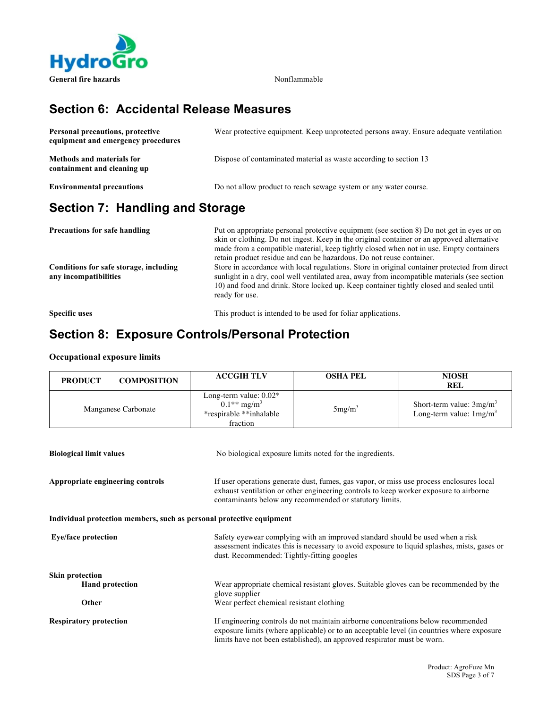

### **Section 6: Accidental Release Measures**

| Personal precautions, protective<br>equipment and emergency procedures | Wear protective equipment. Keep unprotected persons away. Ensure adequate ventilation |
|------------------------------------------------------------------------|---------------------------------------------------------------------------------------|
| <b>Methods and materials for</b><br>containment and cleaning up        | Dispose of contaminated material as waste according to section 13                     |
| <b>Environmental precautions</b>                                       | Do not allow product to reach sewage system or any water course.                      |

## **Section 7: Handling and Storage**

| Precautions for safe handling<br>Conditions for safe storage, including<br>any incompatibilities | Put on appropriate personal protective equipment (see section 8) Do not get in eyes or on<br>skin or clothing. Do not ingest. Keep in the original container or an approved alternative<br>made from a compatible material, keep tightly closed when not in use. Empty containers<br>retain product residue and can be hazardous. Do not reuse container.<br>Store in accordance with local regulations. Store in original container protected from direct<br>sunlight in a dry, cool well ventilated area, away from incompatible materials (see section<br>10) and food and drink. Store locked up. Keep container tightly closed and sealed until<br>ready for use. |
|--------------------------------------------------------------------------------------------------|------------------------------------------------------------------------------------------------------------------------------------------------------------------------------------------------------------------------------------------------------------------------------------------------------------------------------------------------------------------------------------------------------------------------------------------------------------------------------------------------------------------------------------------------------------------------------------------------------------------------------------------------------------------------|
| <b>Specific uses</b>                                                                             | This product is intended to be used for foliar applications.                                                                                                                                                                                                                                                                                                                                                                                                                                                                                                                                                                                                           |

### **Section 8: Exposure Controls/Personal Protection**

#### **Occupational exposure limits**

| <b>PRODUCT</b><br><b>COMPOSITION</b>                                                                                                                                                                                                                                             | <b>ACCGIH TLV</b>                                                                                                                                                                                                                                         | <b>OSHA PEL</b>                                          | <b>NIOSH</b><br><b>REL</b>                               |
|----------------------------------------------------------------------------------------------------------------------------------------------------------------------------------------------------------------------------------------------------------------------------------|-----------------------------------------------------------------------------------------------------------------------------------------------------------------------------------------------------------------------------------------------------------|----------------------------------------------------------|----------------------------------------------------------|
| Manganese Carbonate                                                                                                                                                                                                                                                              | Long-term value: 0.02*<br>$0.1**$ mg/m <sup>3</sup><br>*respirable **inhalable<br>fraction                                                                                                                                                                | $5mg/m^3$                                                | Short-term value: $3mg/m3$<br>Long-term value: $1mg/m^3$ |
| <b>Biological limit values</b>                                                                                                                                                                                                                                                   |                                                                                                                                                                                                                                                           | No biological exposure limits noted for the ingredients. |                                                          |
| Appropriate engineering controls<br>If user operations generate dust, fumes, gas vapor, or miss use process enclosures local<br>exhaust ventilation or other engineering controls to keep worker exposure to airborne<br>contaminants below any recommended or statutory limits. |                                                                                                                                                                                                                                                           |                                                          |                                                          |
| Individual protection members, such as personal protective equipment                                                                                                                                                                                                             |                                                                                                                                                                                                                                                           |                                                          |                                                          |
| <b>Eye/face protection</b>                                                                                                                                                                                                                                                       | Safety eyewear complying with an improved standard should be used when a risk<br>assessment indicates this is necessary to avoid exposure to liquid splashes, mists, gases or<br>dust. Recommended: Tightly-fitting googles                               |                                                          |                                                          |
| <b>Skin protection</b><br><b>Hand protection</b><br>Other                                                                                                                                                                                                                        | Wear appropriate chemical resistant gloves. Suitable gloves can be recommended by the<br>glove supplier<br>Wear perfect chemical resistant clothing                                                                                                       |                                                          |                                                          |
| <b>Respiratory protection</b>                                                                                                                                                                                                                                                    | If engineering controls do not maintain airborne concentrations below recommended<br>exposure limits (where applicable) or to an acceptable level (in countries where exposure<br>limits have not been established), an approved respirator must be worn. |                                                          |                                                          |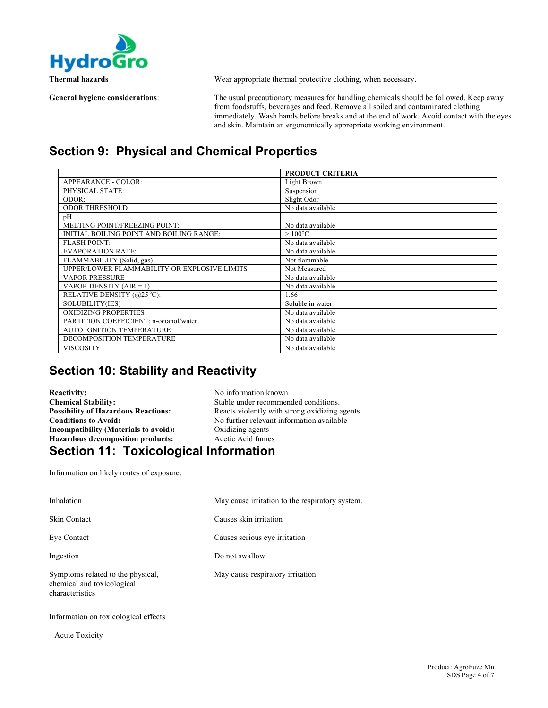

**Thermal hazards** Wear appropriate thermal protective clothing, when necessary.

**General hygiene considerations**: The usual precautionary measures for handling chemicals should be followed. Keep away from foodstuffs, beverages and feed. Remove all soiled and contaminated clothing immediately. Wash hands before breaks and at the end of work. Avoid contact with the eyes and skin. Maintain an ergonomically appropriate working environment.

### **Section 9: Physical and Chemical Properties**

|                                              | <b>PRODUCT CRITERIA</b> |
|----------------------------------------------|-------------------------|
| <b>APPEARANCE - COLOR:</b>                   | Light Brown             |
| PHYSICAL STATE:                              | Suspension              |
| ODOR:                                        | Slight Odor             |
| <b>ODOR THRESHOLD</b>                        | No data available       |
| pН                                           |                         |
| MELTING POINT/FREEZING POINT:                | No data available       |
| INITIAL BOILING POINT AND BOILING RANGE:     | $>100^{\circ}$ C        |
| <b>FLASH POINT:</b>                          | No data available       |
| <b>EVAPORATION RATE:</b>                     | No data available       |
| FLAMMABILITY (Solid, gas)                    | Not flammable           |
| UPPER/LOWER FLAMMABILITY OR EXPLOSIVE LIMITS | Not Measured            |
| <b>VAPOR PRESSURE</b>                        | No data available       |
| VAPOR DENSITY $(AIR = 1)$                    | No data available       |
| RELATIVE DENSITY (@25 °C):                   | 1.66                    |
| SOLUBILITY(IES)                              | Soluble in water        |
| OXIDIZING PROPERTIES                         | No data available       |
| PARTITION COEFFICIENT: n-octanol/water       | No data available       |
| <b>AUTO IGNITION TEMPERATURE</b>             | No data available       |
| DECOMPOSITION TEMPERATURE                    | No data available       |
| VISCOSITY                                    | No data available       |

### **Section 10: Stability and Reactivity**

| <b>Reactivity:</b>                           | No information known                          |  |
|----------------------------------------------|-----------------------------------------------|--|
| <b>Chemical Stability:</b>                   | Stable under recommended conditions.          |  |
| <b>Possibility of Hazardous Reactions:</b>   | Reacts violently with strong oxidizing agents |  |
| <b>Conditions to Avoid:</b>                  | No further relevant information available     |  |
| Incompatibility (Materials to avoid):        | Oxidizing agents                              |  |
| <b>Hazardous decomposition products:</b>     | Acetic Acid fumes                             |  |
| <b>Section 11: Toxicological Information</b> |                                               |  |

Information on likely routes of exposure:

| Inhalation                                                                         | May cause irritation to the respiratory system. |
|------------------------------------------------------------------------------------|-------------------------------------------------|
| <b>Skin Contact</b>                                                                | Causes skin irritation                          |
| Eye Contact                                                                        | Causes serious eye irritation                   |
| Ingestion                                                                          | Do not swallow                                  |
| Symptoms related to the physical,<br>chemical and toxicological<br>characteristics | May cause respiratory irritation.               |

Information on toxicological effects

Acute Toxicity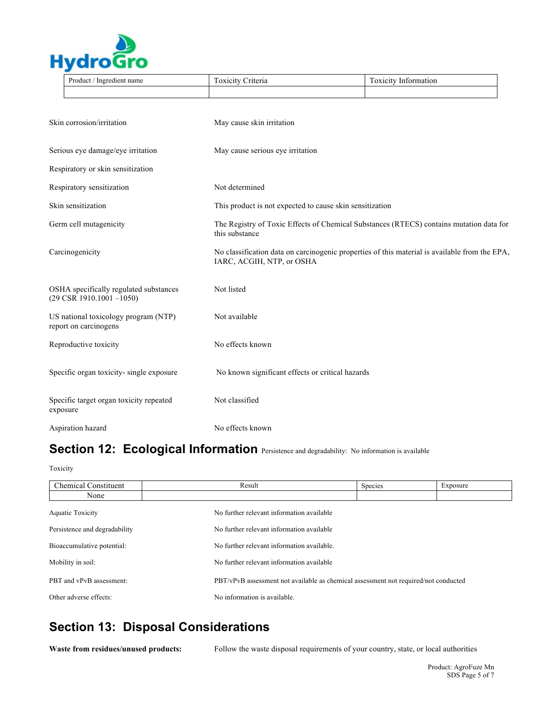

|                                                               | Product / Ingredient name                                                      | Toxicity Criteria                                                                                                          | <b>Toxicity Information</b> |  |
|---------------------------------------------------------------|--------------------------------------------------------------------------------|----------------------------------------------------------------------------------------------------------------------------|-----------------------------|--|
|                                                               |                                                                                |                                                                                                                            |                             |  |
|                                                               |                                                                                |                                                                                                                            |                             |  |
| Skin corrosion/irritation                                     |                                                                                | May cause skin irritation                                                                                                  |                             |  |
| Serious eye damage/eye irritation                             |                                                                                | May cause serious eye irritation                                                                                           |                             |  |
|                                                               | Respiratory or skin sensitization                                              |                                                                                                                            |                             |  |
| Respiratory sensitization                                     |                                                                                | Not determined                                                                                                             |                             |  |
| Skin sensitization                                            |                                                                                | This product is not expected to cause skin sensitization                                                                   |                             |  |
| Germ cell mutagenicity                                        |                                                                                | The Registry of Toxic Effects of Chemical Substances (RTECS) contains mutation data for<br>this substance                  |                             |  |
| Carcinogenicity                                               |                                                                                | No classification data on carcinogenic properties of this material is available from the EPA,<br>IARC, ACGIH, NTP, or OSHA |                             |  |
|                                                               | OSHA specifically regulated substances<br>$(29 \text{ CSR } 1910.1001 - 1050)$ | Not listed                                                                                                                 |                             |  |
| US national toxicology program (NTP)<br>report on carcinogens |                                                                                | Not available                                                                                                              |                             |  |
|                                                               | Reproductive toxicity                                                          | No effects known                                                                                                           |                             |  |
|                                                               | Specific organ toxicity-single exposure                                        | No known significant effects or critical hazards                                                                           |                             |  |
|                                                               | Specific target organ toxicity repeated<br>exposure                            | Not classified                                                                                                             |                             |  |
|                                                               | Aspiration hazard                                                              | No effects known                                                                                                           |                             |  |

# Section 12: Ecological Information Persistence and degradability: No information is available

Toxicity

| <b>Chemical Constituent</b>   | Result                                                                              | Species | Exposure |
|-------------------------------|-------------------------------------------------------------------------------------|---------|----------|
| None                          |                                                                                     |         |          |
| <b>Aquatic Toxicity</b>       | No further relevant information available                                           |         |          |
| Persistence and degradability | No further relevant information available                                           |         |          |
| Bioaccumulative potential:    | No further relevant information available.                                          |         |          |
| Mobility in soil:             | No further relevant information available                                           |         |          |
| PBT and vPvB assessment:      | PBT/vPvB assessment not available as chemical assessment not required/not conducted |         |          |
| Other adverse effects:        | No information is available.                                                        |         |          |

## **Section 13: Disposal Considerations**

**Waste from residues/unused products:** Follow the waste disposal requirements of your country, state, or local authorities

 $\overline{a}$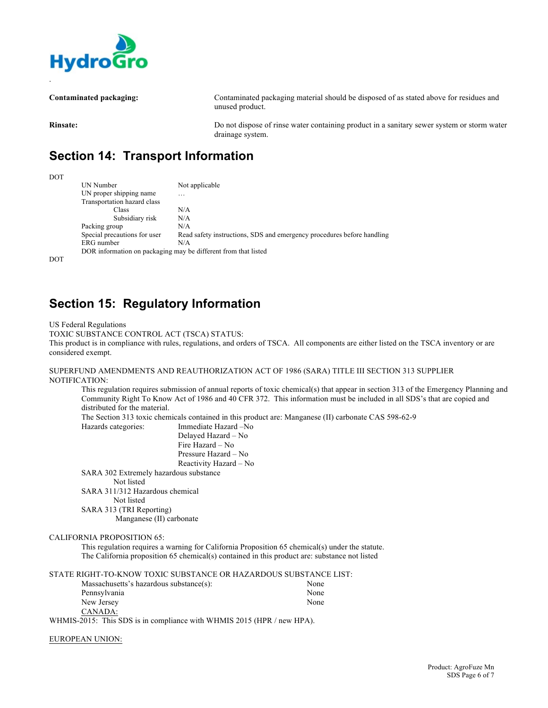

**Contaminated packaging:** Contaminated packaging material should be disposed of as stated above for residues and unused product. **Rinsate:** Do not dispose of rinse water containing product in a sanitary sewer system or storm water drainage system.

## **Section 14: Transport Information**

DOT UN Number Not applicable UN proper shipping name ... Transportation hazard class Class N/A Subsidiary risk  $N/A$ <br>oup  $N/A$ Packing group<br>Special precautions for user Read safety instructions, SDS and emergency procedures before handling ERG number N/A DOR information on packaging may be different from that listed

DOT

.

### **Section 15: Regulatory Information**

US Federal Regulations

TOXIC SUBSTANCE CONTROL ACT (TSCA) STATUS:

This product is in compliance with rules, regulations, and orders of TSCA. All components are either listed on the TSCA inventory or are considered exempt.

#### SUPERFUND AMENDMENTS AND REAUTHORIZATION ACT OF 1986 (SARA) TITLE III SECTION 313 SUPPLIER NOTIFICATION:

This regulation requires submission of annual reports of toxic chemical(s) that appear in section 313 of the Emergency Planning and Community Right To Know Act of 1986 and 40 CFR 372. This information must be included in all SDS's that are copied and distributed for the material.

The Section 313 toxic chemicals contained in this product are: Manganese (II) carbonate CAS 598-62-9 Hazards categories: Immediate Hazard –No

Delayed Hazard – No Fire Hazard – No Pressure Hazard – No Reactivity Hazard – No SARA 302 Extremely hazardous substance

Not listed

SARA 311/312 Hazardous chemical

Not listed

SARA 313 (TRI Reporting)

Manganese (II) carbonate

#### CALIFORNIA PROPOSITION 65:

This regulation requires a warning for California Proposition 65 chemical(s) under the statute. The California proposition 65 chemical(s) contained in this product are: substance not listed

STATE RIGHT-TO-KNOW TOXIC SUBSTANCE OR HAZARDOUS SUBSTANCE LIST: Massachusetts's hazardous substance(s): None Pennsylvania None New Jersey None CANADA: WHMIS-2015: This SDS is in compliance with WHMIS 2015 (HPR / new HPA).

EUROPEAN UNION: